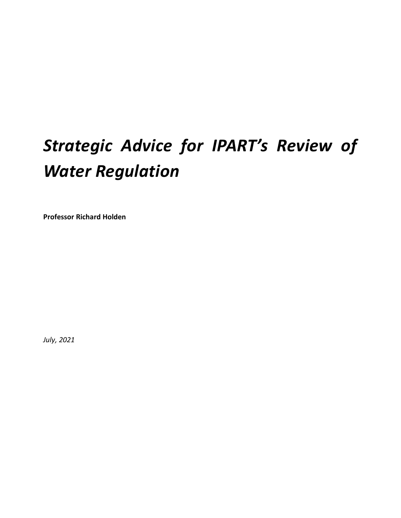# *Strategic Advice for IPART's Review of Water Regulation*

**Professor Richard Holden**

*July, 2021*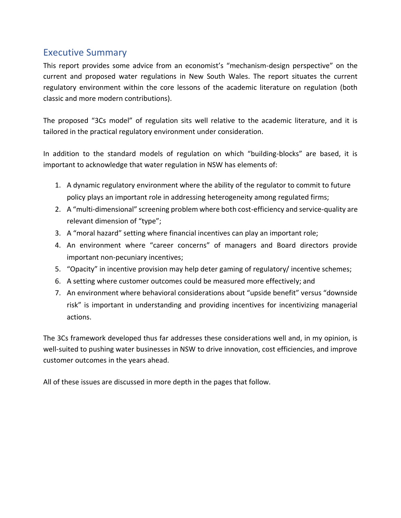## <span id="page-2-0"></span>Executive Summary

This report provides some advice from an economist's "mechanism-design perspective" on the current and proposed water regulations in New South Wales. The report situates the current regulatory environment within the core lessons of the academic literature on regulation (both classic and more modern contributions).

The proposed "3Cs model" of regulation sits well relative to the academic literature, and it is tailored in the practical regulatory environment under consideration.

In addition to the standard models of regulation on which "building-blocks" are based, it is important to acknowledge that water regulation in NSW has elements of:

- 1. A dynamic regulatory environment where the ability of the regulator to commit to future policy plays an important role in addressing heterogeneity among regulated firms;
- 2. A "multi-dimensional" screening problem where both cost-efficiency and service-quality are relevant dimension of "type";
- 3. A "moral hazard" setting where financial incentives can play an important role;
- 4. An environment where "career concerns" of managers and Board directors provide important non-pecuniary incentives;
- 5. "Opacity" in incentive provision may help deter gaming of regulatory/ incentive schemes;
- 6. A setting where customer outcomes could be measured more effectively; and
- 7. An environment where behavioral considerations about "upside benefit" versus "downside risk" is important in understanding and providing incentives for incentivizing managerial actions.

The 3Cs framework developed thus far addresses these considerations well and, in my opinion, is well-suited to pushing water businesses in NSW to drive innovation, cost efficiencies, and improve customer outcomes in the years ahead.

All of these issues are discussed in more depth in the pages that follow.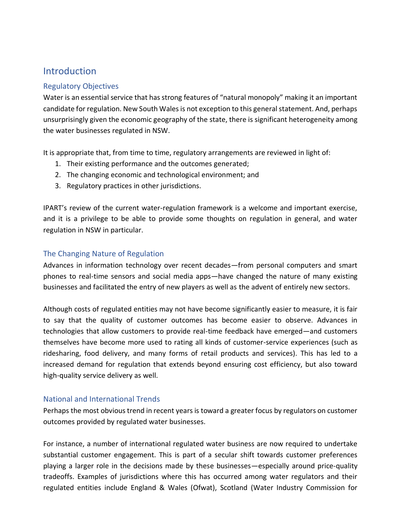## <span id="page-3-0"></span>**Introduction**

#### <span id="page-3-1"></span>Regulatory Objectives

Water is an essential service that has strong features of "natural monopoly" making it an important candidate for regulation. New South Wales is not exception to this general statement. And, perhaps unsurprisingly given the economic geography of the state, there is significant heterogeneity among the water businesses regulated in NSW.

It is appropriate that, from time to time, regulatory arrangements are reviewed in light of:

- 1. Their existing performance and the outcomes generated;
- 2. The changing economic and technological environment; and
- 3. Regulatory practices in other jurisdictions.

IPART's review of the current water-regulation framework is a welcome and important exercise, and it is a privilege to be able to provide some thoughts on regulation in general, and water regulation in NSW in particular.

#### <span id="page-3-2"></span>The Changing Nature of Regulation

Advances in information technology over recent decades—from personal computers and smart phones to real-time sensors and social media apps—have changed the nature of many existing businesses and facilitated the entry of new players as well as the advent of entirely new sectors.

Although costs of regulated entities may not have become significantly easier to measure, it is fair to say that the quality of customer outcomes has become easier to observe. Advances in technologies that allow customers to provide real-time feedback have emerged—and customers themselves have become more used to rating all kinds of customer-service experiences (such as ridesharing, food delivery, and many forms of retail products and services). This has led to a increased demand for regulation that extends beyond ensuring cost efficiency, but also toward high-quality service delivery as well.

#### <span id="page-3-3"></span>National and International Trends

Perhaps the most obvious trend in recent years is toward a greater focus by regulators on customer outcomes provided by regulated water businesses.

For instance, a number of international regulated water business are now required to undertake substantial customer engagement. This is part of a secular shift towards customer preferences playing a larger role in the decisions made by these businesses—especially around price-quality tradeoffs. Examples of jurisdictions where this has occurred among water regulators and their regulated entities include England & Wales (Ofwat), Scotland (Water Industry Commission for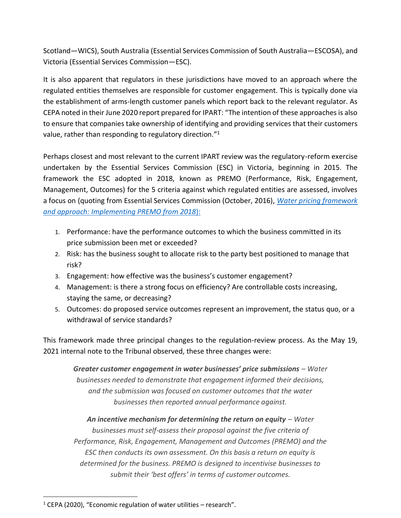Scotland—WICS), South Australia (Essential Services Commission of South Australia—ESCOSA), and Victoria (Essential Services Commission—ESC).

It is also apparent that regulators in these jurisdictions have moved to an approach where the regulated entities themselves are responsible for customer engagement. This is typically done via the establishment of arms-length customer panels which report back to the relevant regulator. As CEPA noted in their June 2020 report prepared for IPART: "The intention of these approaches is also to ensure that companies take ownership of identifying and providing services that their customers value, rather than responding to regulatory direction."<sup>1</sup>

Perhaps closest and most relevant to the current IPART review was the regulatory-reform exercise undertaken by the Essential Services Commission (ESC) in Victoria, beginning in 2015. The framework the ESC adopted in 2018, known as PREMO (Performance, Risk, Engagement, Management, Outcomes) for the 5 criteria against which regulated entities are assessed, involves a focus on (quoting from Essential Services Commission (October, 2016), *[Water pricing framework](https://www.esc.vic.gov.au/sites/default/files/documents/Water-Pricing-Framework-and-Approach-Final-Paper-Oct-2016.pdf)  [and approach: Implementing PREMO from 2018](https://www.esc.vic.gov.au/sites/default/files/documents/Water-Pricing-Framework-and-Approach-Final-Paper-Oct-2016.pdf)*):

- 1. Performance: have the performance outcomes to which the business committed in its price submission been met or exceeded?
- 2. Risk: has the business sought to allocate risk to the party best positioned to manage that risk?
- 3. Engagement: how effective was the business's customer engagement?
- 4. Management: is there a strong focus on efficiency? Are controllable costs increasing, staying the same, or decreasing?
- 5. Outcomes: do proposed service outcomes represent an improvement, the status quo, or a withdrawal of service standards?

This framework made three principal changes to the regulation-review process. As the May 19, 2021 internal note to the Tribunal observed, these three changes were:

*Greater customer engagement in water businesses' price submissions – Water businesses needed to demonstrate that engagement informed their decisions, and the submission was focused on customer outcomes that the water businesses then reported annual performance against.*

*An incentive mechanism for determining the return on equity – Water businesses must self-assess their proposal against the five criteria of Performance, Risk, Engagement, Management and Outcomes (PREMO) and the ESC then conducts its own assessment. On this basis a return on equity is determined for the business. PREMO is designed to incentivise businesses to submit their 'best offers' in terms of customer outcomes.*

 $1$  CEPA (2020), "Economic regulation of water utilities – research".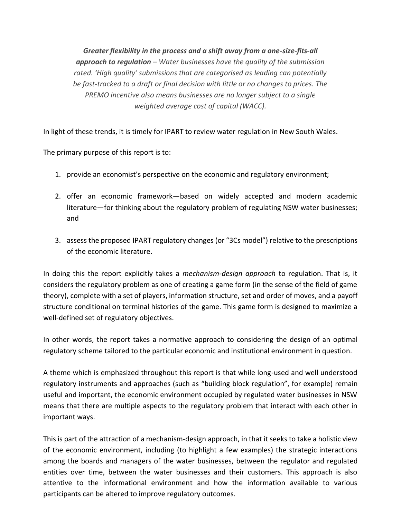*Greater flexibility in the process and a shift away from a one-size-fits-all approach to regulation – Water businesses have the quality of the submission rated. 'High quality' submissions that are categorised as leading can potentially be fast-tracked to a draft or final decision with little or no changes to prices. The PREMO incentive also means businesses are no longer subject to a single weighted average cost of capital (WACC).*

In light of these trends, it is timely for IPART to review water regulation in New South Wales.

The primary purpose of this report is to:

- 1. provide an economist's perspective on the economic and regulatory environment;
- 2. offer an economic framework—based on widely accepted and modern academic literature—for thinking about the regulatory problem of regulating NSW water businesses; and
- 3. assess the proposed IPART regulatory changes (or "3Cs model") relative to the prescriptions of the economic literature.

In doing this the report explicitly takes a *mechanism-design approach* to regulation. That is, it considers the regulatory problem as one of creating a game form (in the sense of the field of game theory), complete with a set of players, information structure, set and order of moves, and a payoff structure conditional on terminal histories of the game. This game form is designed to maximize a well-defined set of regulatory objectives.

In other words, the report takes a normative approach to considering the design of an optimal regulatory scheme tailored to the particular economic and institutional environment in question.

A theme which is emphasized throughout this report is that while long-used and well understood regulatory instruments and approaches (such as "building block regulation", for example) remain useful and important, the economic environment occupied by regulated water businesses in NSW means that there are multiple aspects to the regulatory problem that interact with each other in important ways.

This is part of the attraction of a mechanism-design approach, in that it seeks to take a holistic view of the economic environment, including (to highlight a few examples) the strategic interactions among the boards and managers of the water businesses, between the regulator and regulated entities over time, between the water businesses and their customers. This approach is also attentive to the informational environment and how the information available to various participants can be altered to improve regulatory outcomes.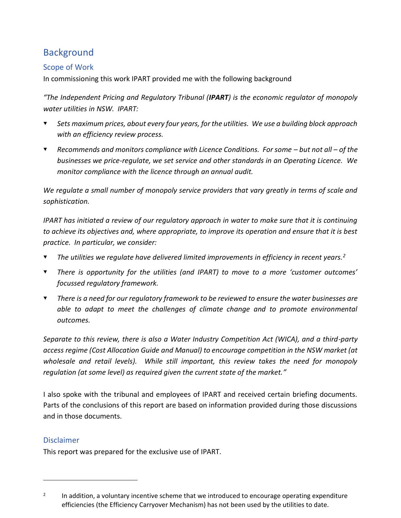# <span id="page-7-0"></span>Background

## <span id="page-7-1"></span>Scope of Work

In commissioning this work IPART provided me with the following background

*"The Independent Pricing and Regulatory Tribunal (IPART) is the economic regulator of monopoly water utilities in NSW. IPART:*

- *Sets maximum prices, about every four years, for the utilities. We use a building block approach with an efficiency review process.*
- $\blacktriangledown$ *Recommends and monitors compliance with Licence Conditions. For some – but not all – of the businesses we price-regulate, we set service and other standards in an Operating Licence. We monitor compliance with the licence through an annual audit.*

*We regulate a small number of monopoly service providers that vary greatly in terms of scale and sophistication.* 

*IPART has initiated a review of our regulatory approach in water to make sure that it is continuing to achieve its objectives and, where appropriate, to improve its operation and ensure that it is best practice. In particular, we consider:*

- *The utilities we regulate have delivered limited improvements in efficiency in recent years.<sup>2</sup>*
- $\blacktriangledown$ *There is opportunity for the utilities (and IPART) to move to a more 'customer outcomes' focussed regulatory framework.*
- *There is a need for our regulatory framework to be reviewed to ensure the water businesses are able to adapt to meet the challenges of climate change and to promote environmental outcomes.*

*Separate to this review, there is also a Water Industry Competition Act (WICA), and a third-party access regime (Cost Allocation Guide and Manual) to encourage competition in the NSW market (at wholesale and retail levels). While still important, this review takes the need for monopoly regulation (at some level) as required given the current state of the market."*

I also spoke with the tribunal and employees of IPART and received certain briefing documents. Parts of the conclusions of this report are based on information provided during those discussions and in those documents.

#### <span id="page-7-2"></span>Disclaimer

This report was prepared for the exclusive use of IPART.

<sup>2</sup> In addition, a voluntary incentive scheme that we introduced to encourage operating expenditure efficiencies (the Efficiency Carryover Mechanism) has not been used by the utilities to date.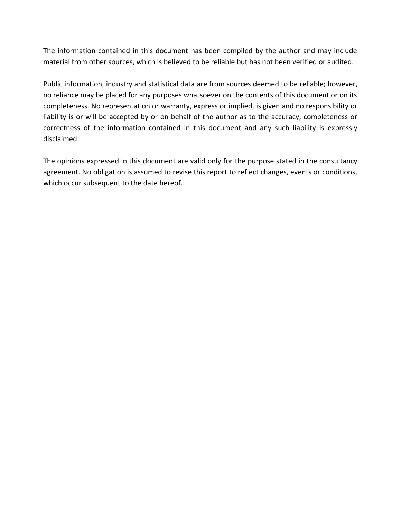The information contained in this document has been compiled by the author and may include material from other sources, which is believed to be reliable but has not been verified or audited.

Public information, industry and statistical data are from sources deemed to be reliable; however, no reliance may be placed for any purposes whatsoever on the contents of this document or on its completeness. No representation or warranty, express or implied, is given and no responsibility or liability is or will be accepted by or on behalf of the author as to the accuracy, completeness or correctness of the information contained in this document and any such liability is expressly disclaimed.

The opinions expressed in this document are valid only for the purpose stated in the consultancy agreement. No obligation is assumed to revise this report to reflect changes, events or conditions, which occur subsequent to the date hereof.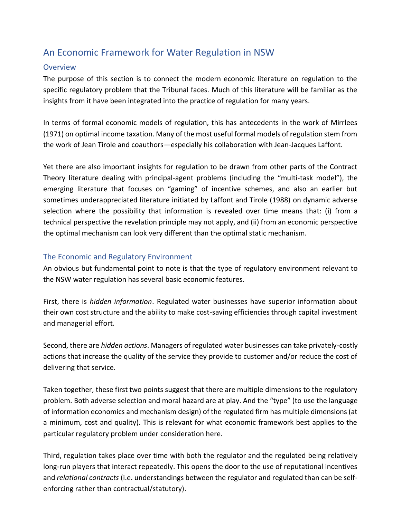## <span id="page-9-0"></span>An Economic Framework for Water Regulation in NSW

#### <span id="page-9-1"></span>**Overview**

The purpose of this section is to connect the modern economic literature on regulation to the specific regulatory problem that the Tribunal faces. Much of this literature will be familiar as the insights from it have been integrated into the practice of regulation for many years.

In terms of formal economic models of regulation, this has antecedents in the work of Mirrlees (1971) on optimal income taxation. Many of the most useful formal models of regulation stem from the work of Jean Tirole and coauthors—especially his collaboration with Jean-Jacques Laffont.

Yet there are also important insights for regulation to be drawn from other parts of the Contract Theory literature dealing with principal-agent problems (including the "multi-task model"), the emerging literature that focuses on "gaming" of incentive schemes, and also an earlier but sometimes underappreciated literature initiated by Laffont and Tirole (1988) on dynamic adverse selection where the possibility that information is revealed over time means that: (i) from a technical perspective the revelation principle may not apply, and (ii) from an economic perspective the optimal mechanism can look very different than the optimal static mechanism.

#### <span id="page-9-2"></span>The Economic and Regulatory Environment

An obvious but fundamental point to note is that the type of regulatory environment relevant to the NSW water regulation has several basic economic features.

First, there is *hidden information*. Regulated water businesses have superior information about their own cost structure and the ability to make cost-saving efficiencies through capital investment and managerial effort.

Second, there are *hidden actions*. Managers of regulated water businesses can take privately-costly actions that increase the quality of the service they provide to customer and/or reduce the cost of delivering that service.

Taken together, these first two points suggest that there are multiple dimensions to the regulatory problem. Both adverse selection and moral hazard are at play. And the "type" (to use the language of information economics and mechanism design) of the regulated firm has multiple dimensions (at a minimum, cost and quality). This is relevant for what economic framework best applies to the particular regulatory problem under consideration here.

Third, regulation takes place over time with both the regulator and the regulated being relatively long-run players that interact repeatedly. This opens the door to the use of reputational incentives and *relational contracts* (i.e. understandings between the regulator and regulated than can be selfenforcing rather than contractual/statutory).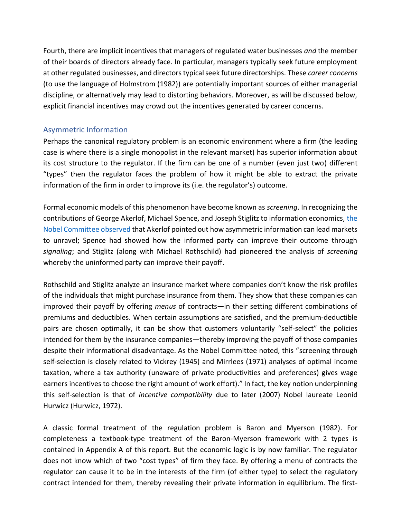Fourth, there are implicit incentives that managers of regulated water businesses *and* the member of their boards of directors already face. In particular, managers typically seek future employment at other regulated businesses, and directors typical seek future directorships. These *career concerns* (to use the language of Holmstrom (1982)) are potentially important sources of either managerial discipline, or alternatively may lead to distorting behaviors. Moreover, as will be discussed below, explicit financial incentives may crowd out the incentives generated by career concerns.

#### <span id="page-10-0"></span>Asymmetric Information

Perhaps the canonical regulatory problem is an economic environment where a firm (the leading case is where there is a single monopolist in the relevant market) has superior information about its cost structure to the regulator. If the firm can be one of a number (even just two) different "types" then the regulator faces the problem of how it might be able to extract the private information of the firm in order to improve its (i.e. the regulator's) outcome.

Formal economic models of this phenomenon have become known as *screening*. In recognizing the contributions of George Akerlof, Michael Spence, and Joseph Stiglitz to information economics, [the](https://www.nobelprize.org/uploads/2018/06/advanced-economicsciences2001.pdf)  [Nobel Committee observed](https://www.nobelprize.org/uploads/2018/06/advanced-economicsciences2001.pdf) that Akerlof pointed out how asymmetric information can lead markets to unravel; Spence had showed how the informed party can improve their outcome through *signaling*; and Stiglitz (along with Michael Rothschild) had pioneered the analysis of *screening* whereby the uninformed party can improve their payoff.

Rothschild and Stiglitz analyze an insurance market where companies don't know the risk profiles of the individuals that might purchase insurance from them. They show that these companies can improved their payoff by offering *menus* of contracts—in their setting different combinations of premiums and deductibles. When certain assumptions are satisfied, and the premium-deductible pairs are chosen optimally, it can be show that customers voluntarily "self-select" the policies intended for them by the insurance companies—thereby improving the payoff of those companies despite their informational disadvantage. As the Nobel Committee noted, this "screening through self-selection is closely related to Vickrey (1945) and Mirrlees (1971) analyses of optimal income taxation, where a tax authority (unaware of private productivities and preferences) gives wage earners incentives to choose the right amount of work effort)." In fact, the key notion underpinning this self-selection is that of *incentive compatibility* due to later (2007) Nobel laureate Leonid Hurwicz (Hurwicz, 1972).

A classic formal treatment of the regulation problem is Baron and Myerson (1982). For completeness a textbook-type treatment of the Baron-Myerson framework with 2 types is contained in Appendix A of this report. But the economic logic is by now familiar. The regulator does not know which of two "cost types" of firm they face. By offering a menu of contracts the regulator can cause it to be in the interests of the firm (of either type) to select the regulatory contract intended for them, thereby revealing their private information in equilibrium. The first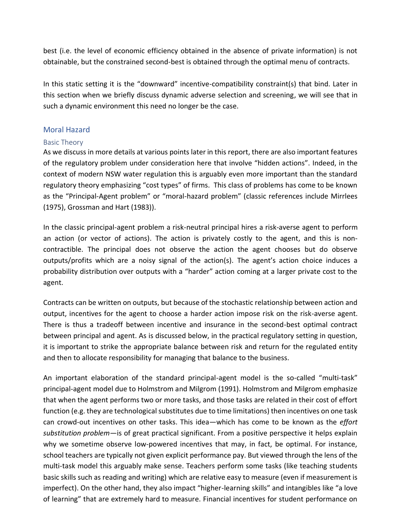best (i.e. the level of economic efficiency obtained in the absence of private information) is not obtainable, but the constrained second-best is obtained through the optimal menu of contracts.

In this static setting it is the "downward" incentive-compatibility constraint(s) that bind. Later in this section when we briefly discuss dynamic adverse selection and screening, we will see that in such a dynamic environment this need no longer be the case.

#### <span id="page-11-0"></span>Moral Hazard

#### <span id="page-11-1"></span>Basic Theory

As we discuss in more details at various points later in this report, there are also important features of the regulatory problem under consideration here that involve "hidden actions". Indeed, in the context of modern NSW water regulation this is arguably even more important than the standard regulatory theory emphasizing "cost types" of firms. This class of problems has come to be known as the "Principal-Agent problem" or "moral-hazard problem" (classic references include Mirrlees (1975), Grossman and Hart (1983)).

In the classic principal-agent problem a risk-neutral principal hires a risk-averse agent to perform an action (or vector of actions). The action is privately costly to the agent, and this is noncontractible. The principal does not observe the action the agent chooses but do observe outputs/profits which are a noisy signal of the action(s). The agent's action choice induces a probability distribution over outputs with a "harder" action coming at a larger private cost to the agent.

Contracts can be written on outputs, but because of the stochastic relationship between action and output, incentives for the agent to choose a harder action impose risk on the risk-averse agent. There is thus a tradeoff between incentive and insurance in the second-best optimal contract between principal and agent. As is discussed below, in the practical regulatory setting in question, it is important to strike the appropriate balance between risk and return for the regulated entity and then to allocate responsibility for managing that balance to the business.

An important elaboration of the standard principal-agent model is the so-called "multi-task" principal-agent model due to Holmstrom and Milgrom (1991). Holmstrom and Milgrom emphasize that when the agent performs two or more tasks, and those tasks are related in their cost of effort function (e.g. they are technological substitutes due to time limitations) then incentives on one task can crowd-out incentives on other tasks. This idea—which has come to be known as the *effort substitution problem*—is of great practical significant. From a positive perspective it helps explain why we sometime observe low-powered incentives that may, in fact, be optimal. For instance, school teachers are typically not given explicit performance pay. But viewed through the lens of the multi-task model this arguably make sense. Teachers perform some tasks (like teaching students basic skills such as reading and writing) which are relative easy to measure (even if measurement is imperfect). On the other hand, they also impact "higher-learning skills" and intangibles like "a love of learning" that are extremely hard to measure. Financial incentives for student performance on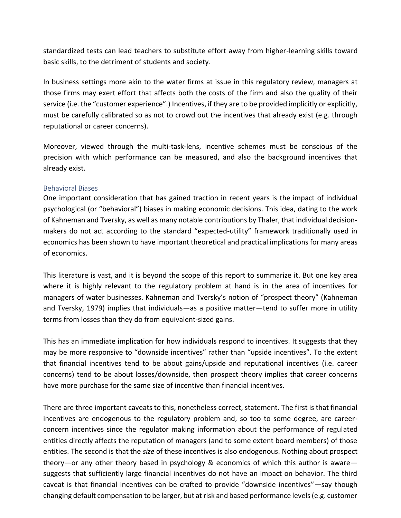standardized tests can lead teachers to substitute effort away from higher-learning skills toward basic skills, to the detriment of students and society.

In business settings more akin to the water firms at issue in this regulatory review, managers at those firms may exert effort that affects both the costs of the firm and also the quality of their service (i.e. the "customer experience".) Incentives, if they are to be provided implicitly or explicitly, must be carefully calibrated so as not to crowd out the incentives that already exist (e.g. through reputational or career concerns).

Moreover, viewed through the multi-task-lens, incentive schemes must be conscious of the precision with which performance can be measured, and also the background incentives that already exist.

#### <span id="page-12-0"></span>Behavioral Biases

One important consideration that has gained traction in recent years is the impact of individual psychological (or "behavioral") biases in making economic decisions. This idea, dating to the work of Kahneman and Tversky, as well as many notable contributions by Thaler, that individual decisionmakers do not act according to the standard "expected-utility" framework traditionally used in economics has been shown to have important theoretical and practical implications for many areas of economics.

This literature is vast, and it is beyond the scope of this report to summarize it. But one key area where it is highly relevant to the regulatory problem at hand is in the area of incentives for managers of water businesses. Kahneman and Tversky's notion of "prospect theory" (Kahneman and Tversky, 1979) implies that individuals—as a positive matter—tend to suffer more in utility terms from losses than they do from equivalent-sized gains.

This has an immediate implication for how individuals respond to incentives. It suggests that they may be more responsive to "downside incentives" rather than "upside incentives". To the extent that financial incentives tend to be about gains/upside and reputational incentives (i.e. career concerns) tend to be about losses/downside, then prospect theory implies that career concerns have more purchase for the same size of incentive than financial incentives.

There are three important caveats to this, nonetheless correct, statement. The first is that financial incentives are endogenous to the regulatory problem and, so too to some degree, are careerconcern incentives since the regulator making information about the performance of regulated entities directly affects the reputation of managers (and to some extent board members) of those entities. The second is that the *size* of these incentives is also endogenous. Nothing about prospect theory—or any other theory based in psychology & economics of which this author is aware suggests that sufficiently large financial incentives do not have an impact on behavior. The third caveat is that financial incentives can be crafted to provide "downside incentives"—say though changing default compensation to be larger, but at risk and based performance levels (e.g. customer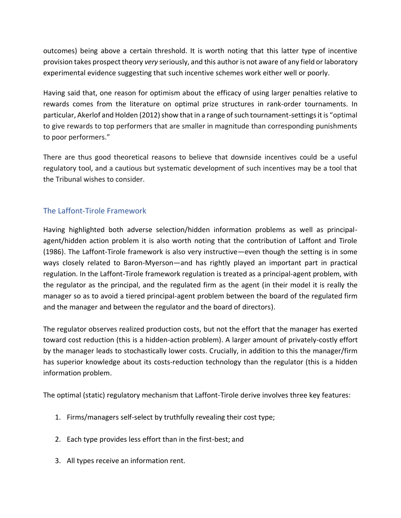outcomes) being above a certain threshold. It is worth noting that this latter type of incentive provision takes prospect theory *very* seriously, and this author is not aware of any field or laboratory experimental evidence suggesting that such incentive schemes work either well or poorly.

Having said that, one reason for optimism about the efficacy of using larger penalties relative to rewards comes from the literature on optimal prize structures in rank-order tournaments. In particular, Akerlof and Holden (2012) show that in a range of such tournament-settings it is "optimal to give rewards to top performers that are smaller in magnitude than corresponding punishments to poor performers."

There are thus good theoretical reasons to believe that downside incentives could be a useful regulatory tool, and a cautious but systematic development of such incentives may be a tool that the Tribunal wishes to consider.

## <span id="page-13-0"></span>The Laffont-Tirole Framework

Having highlighted both adverse selection/hidden information problems as well as principalagent/hidden action problem it is also worth noting that the contribution of Laffont and Tirole (1986). The Laffont-Tirole framework is also very instructive—even though the setting is in some ways closely related to Baron-Myerson—and has rightly played an important part in practical regulation. In the Laffont-Tirole framework regulation is treated as a principal-agent problem, with the regulator as the principal, and the regulated firm as the agent (in their model it is really the manager so as to avoid a tiered principal-agent problem between the board of the regulated firm and the manager and between the regulator and the board of directors).

The regulator observes realized production costs, but not the effort that the manager has exerted toward cost reduction (this is a hidden-action problem). A larger amount of privately-costly effort by the manager leads to stochastically lower costs. Crucially, in addition to this the manager/firm has superior knowledge about its costs-reduction technology than the regulator (this is a hidden information problem.

The optimal (static) regulatory mechanism that Laffont-Tirole derive involves three key features:

- 1. Firms/managers self-select by truthfully revealing their cost type;
- 2. Each type provides less effort than in the first-best; and
- 3. All types receive an information rent.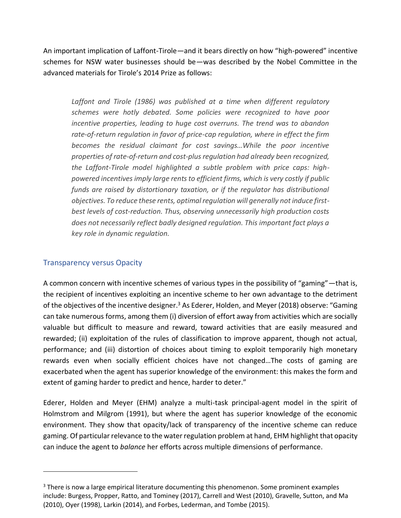An important implication of Laffont-Tirole—and it bears directly on how "high-powered" incentive schemes for NSW water businesses should be—was described by the Nobel Committee in the advanced materials for Tirole's 2014 Prize as follows:

Laffont and Tirole (1986) was published at a time when different regulatory *schemes were hotly debated. Some policies were recognized to have poor incentive properties, leading to huge cost overruns. The trend was to abandon rate-of-return regulation in favor of price-cap regulation, where in effect the firm becomes the residual claimant for cost savings…While the poor incentive properties of rate-of-return and cost-plus regulation had already been recognized, the Laffont-Tirole model highlighted a subtle problem with price caps: highpowered incentives imply large rents to efficient firms, which is very costly if public funds are raised by distortionary taxation, or if the regulator has distributional objectives. To reduce these rents, optimal regulation will generally not induce firstbest levels of cost-reduction. Thus, observing unnecessarily high production costs does not necessarily reflect badly designed regulation. This important fact plays a key role in dynamic regulation.*

#### <span id="page-14-0"></span>Transparency versus Opacity

A common concern with incentive schemes of various types in the possibility of "gaming"—that is, the recipient of incentives exploiting an incentive scheme to her own advantage to the detriment of the objectives of the incentive designer.<sup>3</sup> As Ederer, Holden, and Meyer (2018) observe: "Gaming can take numerous forms, among them (i) diversion of effort away from activities which are socially valuable but difficult to measure and reward, toward activities that are easily measured and rewarded; (ii) exploitation of the rules of classification to improve apparent, though not actual, performance; and (iii) distortion of choices about timing to exploit temporarily high monetary rewards even when socially efficient choices have not changed…The costs of gaming are exacerbated when the agent has superior knowledge of the environment: this makes the form and extent of gaming harder to predict and hence, harder to deter."

Ederer, Holden and Meyer (EHM) analyze a multi-task principal-agent model in the spirit of Holmstrom and Milgrom (1991), but where the agent has superior knowledge of the economic environment. They show that opacity/lack of transparency of the incentive scheme can reduce gaming. Of particular relevance to the water regulation problem at hand, EHM highlight that opacity can induce the agent to *balance* her efforts across multiple dimensions of performance.

<sup>&</sup>lt;sup>3</sup> There is now a large empirical literature documenting this phenomenon. Some prominent examples include: Burgess, Propper, Ratto, and Tominey (2017), Carrell and West (2010), Gravelle, Sutton, and Ma (2010), Oyer (1998), Larkin (2014), and Forbes, Lederman, and Tombe (2015).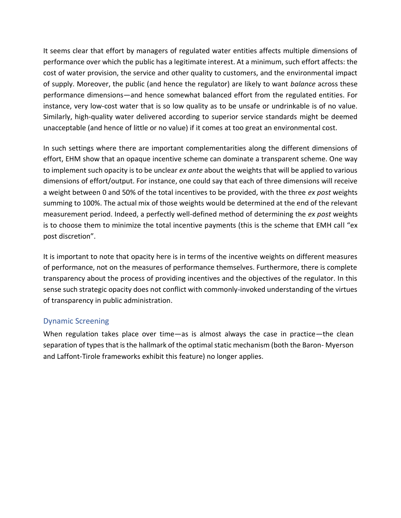It seems clear that effort by managers of regulated water entities affects multiple dimensions of performance over which the public has a legitimate interest. At a minimum, such effort affects: the cost of water provision, the service and other quality to customers, and the environmental impact of supply. Moreover, the public (and hence the regulator) are likely to want *balance* across these performance dimensions—and hence somewhat balanced effort from the regulated entities. For instance, very low-cost water that is so low quality as to be unsafe or undrinkable is of no value. Similarly, high-quality water delivered according to superior service standards might be deemed unacceptable (and hence of little or no value) if it comes at too great an environmental cost.

In such settings where there are important complementarities along the different dimensions of effort, EHM show that an opaque incentive scheme can dominate a transparent scheme. One way to implement such opacity is to be unclear *ex ante* about the weights that will be applied to various dimensions of effort/output. For instance, one could say that each of three dimensions will receive a weight between 0 and 50% of the total incentives to be provided, with the three *ex post* weights summing to 100%. The actual mix of those weights would be determined at the end of the relevant measurement period. Indeed, a perfectly well-defined method of determining the *ex post* weights is to choose them to minimize the total incentive payments (this is the scheme that EMH call "ex post discretion".

It is important to note that opacity here is in terms of the incentive weights on different measures of performance, not on the measures of performance themselves. Furthermore, there is complete transparency about the process of providing incentives and the objectives of the regulator. In this sense such strategic opacity does not conflict with commonly-invoked understanding of the virtues of transparency in public administration.

#### <span id="page-15-0"></span>Dynamic Screening

When regulation takes place over time—as is almost always the case in practice—the clean separation of types that is the hallmark of the optimal static mechanism (both the Baron- Myerson and Laffont-Tirole frameworks exhibit this feature) no longer applies.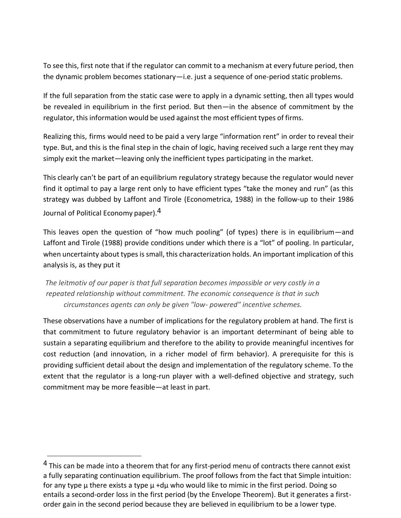To see this, first note that if the regulator can commit to a mechanism at every future period, then the dynamic problem becomes stationary—i.e. just a sequence of one-period static problems.

If the full separation from the static case were to apply in a dynamic setting, then all types would be revealed in equilibrium in the first period. But then—in the absence of commitment by the regulator, thisinformation would be used against the most efficient types of firms.

Realizing this, firms would need to be paid a very large "information rent" in order to reveal their type. But, and this is the final step in the chain of logic, having received such a large rent they may simply exit the market—leaving only the inefficient types participating in the market.

This clearly can't be part of an equilibrium regulatory strategy because the regulator would never find it optimal to pay a large rent only to have efficient types "take the money and run" (as this strategy was dubbed by Laffont and Tirole (Econometrica, 1988) in the follow-up to their 1986 Journal of Political Economy paper).<sup>[4](#page-16-0)</sup>

This leaves open the question of "how much pooling" (of types) there is in equilibrium—and Laffont and Tirole (1988) provide conditions under which there is a "lot" of pooling. In particular, when uncertainty about types is small, this characterization holds. An important implication of this analysis is, as they put it

*The leitmotiv of our paper is that full separation becomes impossible or very costly in a repeated relationship without commitment. The economic consequence is that in such circumstances agents can only be given "low- powered" incentive schemes.*

These observations have a number of implications for the regulatory problem at hand. The first is that commitment to future regulatory behavior is an important determinant of being able to sustain a separating equilibrium and therefore to the ability to provide meaningful incentives for cost reduction (and innovation, in a richer model of firm behavior). A prerequisite for this is providing sufficient detail about the design and implementation of the regulatory scheme. To the extent that the regulator is a long-run player with a well-defined objective and strategy, such commitment may be more feasible—at least in part.

<span id="page-16-0"></span><sup>&</sup>lt;sup>4</sup> This can be made into a theorem that for any first-period menu of contracts there cannot exist a fully separating continuation equilibrium. The proof follows from the fact that Simple intuition: for any type  $\mu$  there exists a type  $\mu$  +d $\mu$  who would like to mimic in the first period. Doing so entails a second-order loss in the first period (by the Envelope Theorem). But it generates a firstorder gain in the second period because they are believed in equilibrium to be a lower type.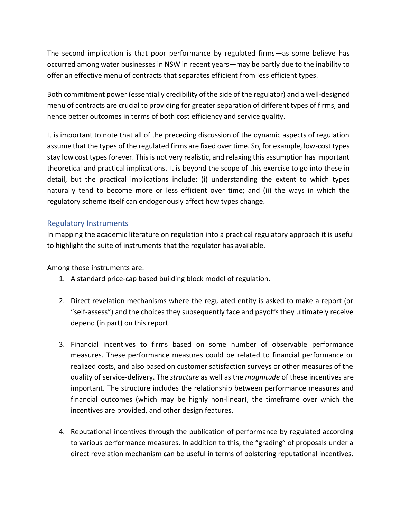The second implication is that poor performance by regulated firms—as some believe has occurred among water businesses in NSW in recent years—may be partly due to the inability to offer an effective menu of contracts that separates efficient from less efficient types.

Both commitment power (essentially credibility of the side of the regulator) and a well-designed menu of contracts are crucial to providing for greater separation of different types of firms, and hence better outcomes in terms of both cost efficiency and service quality.

It is important to note that all of the preceding discussion of the dynamic aspects of regulation assume that the types of the regulated firms are fixed over time. So, for example, low-cost types stay low cost types forever. This is not very realistic, and relaxing this assumption has important theoretical and practical implications. It is beyond the scope of this exercise to go into these in detail, but the practical implications include: (i) understanding the extent to which types naturally tend to become more or less efficient over time; and (ii) the ways in which the regulatory scheme itself can endogenously affect how types change.

#### <span id="page-17-0"></span>Regulatory Instruments

In mapping the academic literature on regulation into a practical regulatory approach it is useful to highlight the suite of instruments that the regulator has available.

Among those instruments are:

- 1. A standard price-cap based building block model of regulation.
- 2. Direct revelation mechanisms where the regulated entity is asked to make a report (or "self-assess") and the choices they subsequently face and payoffs they ultimately receive depend (in part) on this report.
- 3. Financial incentives to firms based on some number of observable performance measures. These performance measures could be related to financial performance or realized costs, and also based on customer satisfaction surveys or other measures of the quality of service-delivery. The *structure* as well as the *magnitude* of these incentives are important. The structure includes the relationship between performance measures and financial outcomes (which may be highly non-linear), the timeframe over which the incentives are provided, and other design features.
- 4. Reputational incentives through the publication of performance by regulated according to various performance measures. In addition to this, the "grading" of proposals under a direct revelation mechanism can be useful in terms of bolstering reputational incentives.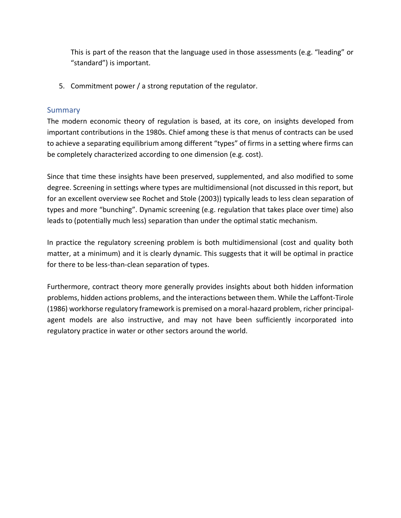This is part of the reason that the language used in those assessments (e.g. "leading" or "standard") is important.

5. Commitment power / a strong reputation of the regulator.

#### <span id="page-18-0"></span>**Summary**

The modern economic theory of regulation is based, at its core, on insights developed from important contributions in the 1980s. Chief among these is that menus of contracts can be used to achieve a separating equilibrium among different "types" of firms in a setting where firms can be completely characterized according to one dimension (e.g. cost).

Since that time these insights have been preserved, supplemented, and also modified to some degree. Screening in settings where types are multidimensional (not discussed in this report, but for an excellent overview see Rochet and Stole (2003)) typically leads to less clean separation of types and more "bunching". Dynamic screening (e.g. regulation that takes place over time) also leads to (potentially much less) separation than under the optimal static mechanism.

In practice the regulatory screening problem is both multidimensional (cost and quality both matter, at a minimum) and it is clearly dynamic. This suggests that it will be optimal in practice for there to be less-than-clean separation of types.

Furthermore, contract theory more generally provides insights about both hidden information problems, hidden actions problems, and the interactions between them. While the Laffont-Tirole (1986) workhorse regulatory framework is premised on a moral-hazard problem, richer principalagent models are also instructive, and may not have been sufficiently incorporated into regulatory practice in water or other sectors around the world.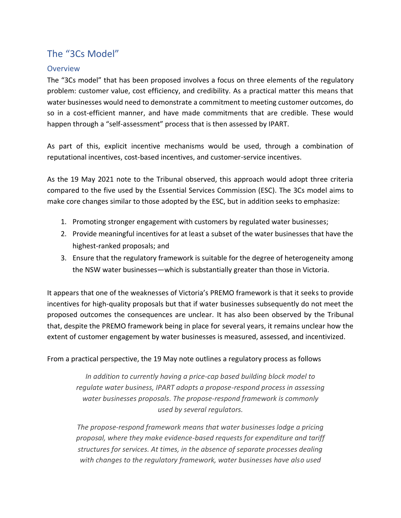## <span id="page-19-0"></span>The "3Cs Model"

#### <span id="page-19-1"></span>**Overview**

The "3Cs model" that has been proposed involves a focus on three elements of the regulatory problem: customer value, cost efficiency, and credibility. As a practical matter this means that water businesses would need to demonstrate a commitment to meeting customer outcomes, do so in a cost-efficient manner, and have made commitments that are credible. These would happen through a "self-assessment" process that is then assessed by IPART.

As part of this, explicit incentive mechanisms would be used, through a combination of reputational incentives, cost-based incentives, and customer-service incentives.

As the 19 May 2021 note to the Tribunal observed, this approach would adopt three criteria compared to the five used by the Essential Services Commission (ESC). The 3Cs model aims to make core changes similar to those adopted by the ESC, but in addition seeks to emphasize:

- 1. Promoting stronger engagement with customers by regulated water businesses;
- 2. Provide meaningful incentives for at least a subset of the water businesses that have the highest-ranked proposals; and
- 3. Ensure that the regulatory framework is suitable for the degree of heterogeneity among the NSW water businesses—which is substantially greater than those in Victoria.

It appears that one of the weaknesses of Victoria's PREMO framework is that it seeks to provide incentives for high-quality proposals but that if water businesses subsequently do not meet the proposed outcomes the consequences are unclear. It has also been observed by the Tribunal that, despite the PREMO framework being in place for several years, it remains unclear how the extent of customer engagement by water businesses is measured, assessed, and incentivized.

#### From a practical perspective, the 19 May note outlines a regulatory process as follows

*In addition to currently having a price-cap based building block model to regulate water business, IPART adopts a propose-respond process in assessing water businesses proposals. The propose-respond framework is commonly used by several regulators.*

*The propose-respond framework means that water businesses lodge a pricing proposal, where they make evidence-based requests for expenditure and tariff structures for services. At times, in the absence of separate processes dealing with changes to the regulatory framework, water businesses have also used*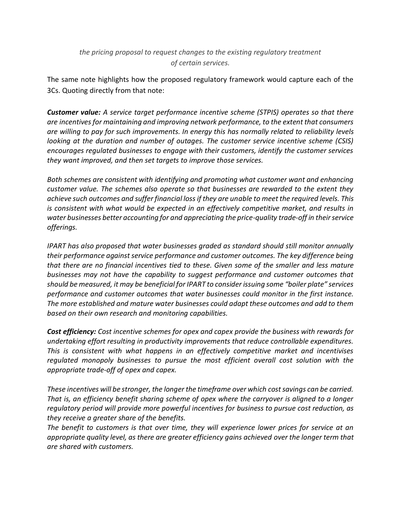#### *the pricing proposal to request changes to the existing regulatory treatment of certain services.*

The same note highlights how the proposed regulatory framework would capture each of the 3Cs. Quoting directly from that note:

*Customer value: A service target performance incentive scheme (STPIS) operates so that there are incentives for maintaining and improving network performance, to the extent that consumers are willing to pay for such improvements. In energy this has normally related to reliability levels looking at the duration and number of outages. The customer service incentive scheme (CSIS) encourages regulated businesses to engage with their customers, identify the customer services they want improved, and then set targets to improve those services.* 

*Both schemes are consistent with identifying and promoting what customer want and enhancing customer value. The schemes also operate so that businesses are rewarded to the extent they achieve such outcomes and suffer financial loss if they are unable to meet the required levels. This is consistent with what would be expected in an effectively competitive market, and results in water businesses better accounting for and appreciating the price-quality trade-off in their service offerings.*

*IPART has also proposed that water businesses graded as standard should still monitor annually their performance against service performance and customer outcomes. The key difference being that there are no financial incentives tied to these. Given some of the smaller and less mature businesses may not have the capability to suggest performance and customer outcomes that should be measured, it may be beneficial for IPART to consider issuing some "boiler plate" services performance and customer outcomes that water businesses could monitor in the first instance. The more established and mature water businesses could adapt these outcomes and add to them based on their own research and monitoring capabilities.* 

*Cost efficiency: Cost incentive schemes for opex and capex provide the business with rewards for undertaking effort resulting in productivity improvements that reduce controllable expenditures. This is consistent with what happens in an effectively competitive market and incentivises regulated monopoly businesses to pursue the most efficient overall cost solution with the appropriate trade-off of opex and capex.* 

*These incentives will be stronger, the longer the timeframe over which cost savings can be carried. That is, an efficiency benefit sharing scheme of opex where the carryover is aligned to a longer regulatory period will provide more powerful incentives for business to pursue cost reduction, as they receive a greater share of the benefits.* 

*The benefit to customers is that over time, they will experience lower prices for service at an appropriate quality level, as there are greater efficiency gains achieved over the longer term that are shared with customers.*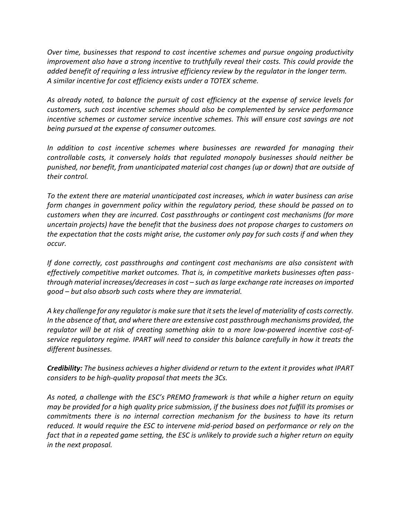*Over time, businesses that respond to cost incentive schemes and pursue ongoing productivity improvement also have a strong incentive to truthfully reveal their costs. This could provide the added benefit of requiring a less intrusive efficiency review by the regulator in the longer term. A similar incentive for cost efficiency exists under a TOTEX scheme.* 

*As already noted, to balance the pursuit of cost efficiency at the expense of service levels for customers, such cost incentive schemes should also be complemented by service performance incentive schemes or customer service incentive schemes. This will ensure cost savings are not being pursued at the expense of consumer outcomes.*

*In addition to cost incentive schemes where businesses are rewarded for managing their controllable costs, it conversely holds that regulated monopoly businesses should neither be punished, nor benefit, from unanticipated material cost changes (up or down) that are outside of their control.* 

*To the extent there are material unanticipated cost increases, which in water business can arise form changes in government policy within the regulatory period, these should be passed on to customers when they are incurred. Cost passthroughs or contingent cost mechanisms (for more uncertain projects) have the benefit that the business does not propose charges to customers on the expectation that the costs might arise, the customer only pay for such costs if and when they occur.* 

*If done correctly, cost passthroughs and contingent cost mechanisms are also consistent with effectively competitive market outcomes. That is, in competitive markets businesses often passthrough material increases/decreases in cost – such as large exchange rate increases on imported good – but also absorb such costs where they are immaterial.* 

*A key challenge for any regulator is make sure that it sets the level of materiality of costs correctly. In the absence of that, and where there are extensive cost passthrough mechanisms provided, the regulator will be at risk of creating something akin to a more low-powered incentive cost-ofservice regulatory regime. IPART will need to consider this balance carefully in how it treats the different businesses.*

*Credibility: The business achieves a higher dividend or return to the extent it provides what IPART considers to be high-quality proposal that meets the 3Cs.* 

*As noted, a challenge with the ESC's PREMO framework is that while a higher return on equity may be provided for a high quality price submission, if the business does not fulfill its promises or commitments there is no internal correction mechanism for the business to have its return reduced. It would require the ESC to intervene mid-period based on performance or rely on the fact that in a repeated game setting, the ESC is unlikely to provide such a higher return on equity in the next proposal.*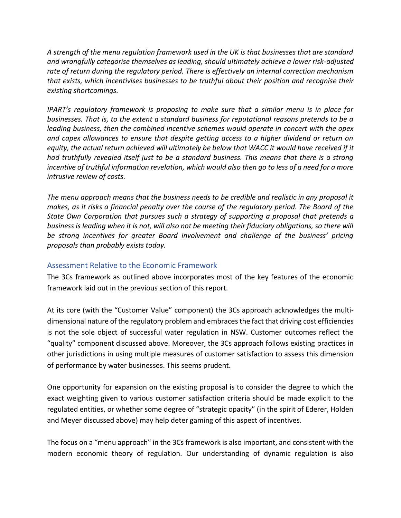*A strength of the menu regulation framework used in the UK is that businesses that are standard and wrongfully categorise themselves as leading, should ultimately achieve a lower risk-adjusted rate of return during the regulatory period. There is effectively an internal correction mechanism that exists, which incentivises businesses to be truthful about their position and recognise their existing shortcomings.*

*IPART's regulatory framework is proposing to make sure that a similar menu is in place for businesses. That is, to the extent a standard business for reputational reasons pretends to be a leading business, then the combined incentive schemes would operate in concert with the opex and capex allowances to ensure that despite getting access to a higher dividend or return on equity, the actual return achieved will ultimately be below that WACC it would have received if it had truthfully revealed itself just to be a standard business. This means that there is a strong incentive of truthful information revelation, which would also then go to less of a need for a more intrusive review of costs.*

*The menu approach means that the business needs to be credible and realistic in any proposal it makes, as it risks a financial penalty over the course of the regulatory period. The Board of the State Own Corporation that pursues such a strategy of supporting a proposal that pretends a business is leading when it is not, will also not be meeting their fiduciary obligations, so there will be strong incentives for greater Board involvement and challenge of the business' pricing proposals than probably exists today.*

#### <span id="page-22-0"></span>Assessment Relative to the Economic Framework

The 3Cs framework as outlined above incorporates most of the key features of the economic framework laid out in the previous section of this report.

At its core (with the "Customer Value" component) the 3Cs approach acknowledges the multidimensional nature of the regulatory problem and embraces the fact that driving cost efficiencies is not the sole object of successful water regulation in NSW. Customer outcomes reflect the "quality" component discussed above. Moreover, the 3Cs approach follows existing practices in other jurisdictions in using multiple measures of customer satisfaction to assess this dimension of performance by water businesses. This seems prudent.

One opportunity for expansion on the existing proposal is to consider the degree to which the exact weighting given to various customer satisfaction criteria should be made explicit to the regulated entities, or whether some degree of "strategic opacity" (in the spirit of Ederer, Holden and Meyer discussed above) may help deter gaming of this aspect of incentives.

The focus on a "menu approach" in the 3Cs framework is also important, and consistent with the modern economic theory of regulation. Our understanding of dynamic regulation is also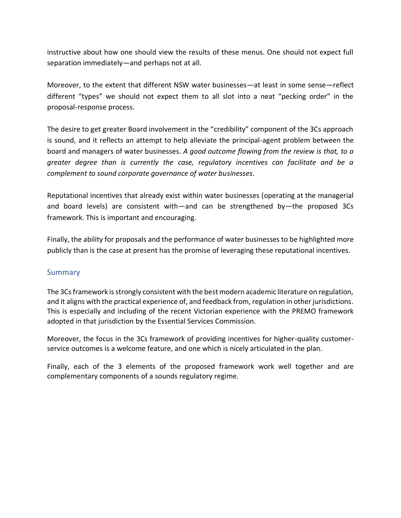instructive about how one should view the results of these menus. One should not expect full separation immediately—and perhaps not at all.

Moreover, to the extent that different NSW water businesses—at least in some sense—reflect different "types" we should not expect them to all slot into a neat "pecking order" in the proposal-response process.

The desire to get greater Board involvement in the "credibility" component of the 3Cs approach is sound, and it reflects an attempt to help alleviate the principal-agent problem between the board and managers of water businesses. *A good outcome flowing from the review is that, to a greater degree than is currently the case, regulatory incentives can facilitate and be a complement to sound corporate governance of water businesses*.

Reputational incentives that already exist within water businesses (operating at the managerial and board levels) are consistent with—and can be strengthened by—the proposed 3Cs framework. This is important and encouraging.

Finally, the ability for proposals and the performance of water businesses to be highlighted more publicly than is the case at present has the promise of leveraging these reputational incentives.

#### <span id="page-23-0"></span>**Summary**

The 3Cs framework is strongly consistent with the best modern academic literature on regulation, and it aligns with the practical experience of, and feedback from, regulation in other jurisdictions. This is especially and including of the recent Victorian experience with the PREMO framework adopted in that jurisdiction by the Essential Services Commission.

Moreover, the focus in the 3Cs framework of providing incentives for higher-quality customerservice outcomes is a welcome feature, and one which is nicely articulated in the plan.

Finally, each of the 3 elements of the proposed framework work well together and are complementary components of a sounds regulatory regime.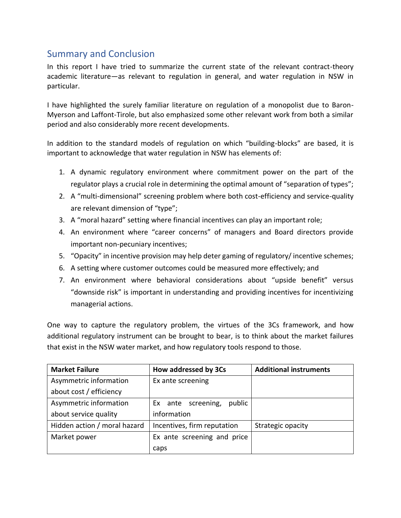## <span id="page-24-0"></span>Summary and Conclusion

In this report I have tried to summarize the current state of the relevant contract-theory academic literature—as relevant to regulation in general, and water regulation in NSW in particular.

I have highlighted the surely familiar literature on regulation of a monopolist due to Baron-Myerson and Laffont-Tirole, but also emphasized some other relevant work from both a similar period and also considerably more recent developments.

In addition to the standard models of regulation on which "building-blocks" are based, it is important to acknowledge that water regulation in NSW has elements of:

- 1. A dynamic regulatory environment where commitment power on the part of the regulator plays a crucial role in determining the optimal amount of "separation of types";
- 2. A "multi-dimensional" screening problem where both cost-efficiency and service-quality are relevant dimension of "type";
- 3. A "moral hazard" setting where financial incentives can play an important role;
- 4. An environment where "career concerns" of managers and Board directors provide important non-pecuniary incentives;
- 5. "Opacity" in incentive provision may help deter gaming of regulatory/ incentive schemes;
- 6. A setting where customer outcomes could be measured more effectively; and
- 7. An environment where behavioral considerations about "upside benefit" versus "downside risk" is important in understanding and providing incentives for incentivizing managerial actions.

One way to capture the regulatory problem, the virtues of the 3Cs framework, and how additional regulatory instrument can be brought to bear, is to think about the market failures that exist in the NSW water market, and how regulatory tools respond to those.

| <b>Market Failure</b>        | How addressed by 3Cs         | <b>Additional instruments</b> |
|------------------------------|------------------------------|-------------------------------|
| Asymmetric information       | Ex ante screening            |                               |
| about cost / efficiency      |                              |                               |
| Asymmetric information       | public<br>Ex ante screening, |                               |
| about service quality        | information                  |                               |
| Hidden action / moral hazard | Incentives, firm reputation  | Strategic opacity             |
| Market power                 | Ex ante screening and price  |                               |
|                              | caps                         |                               |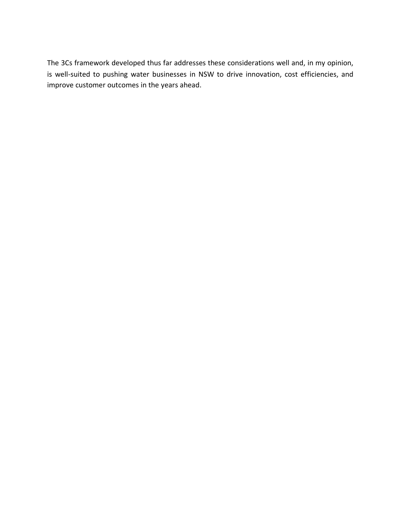The 3Cs framework developed thus far addresses these considerations well and, in my opinion, is well-suited to pushing water businesses in NSW to drive innovation, cost efficiencies, and improve customer outcomes in the years ahead.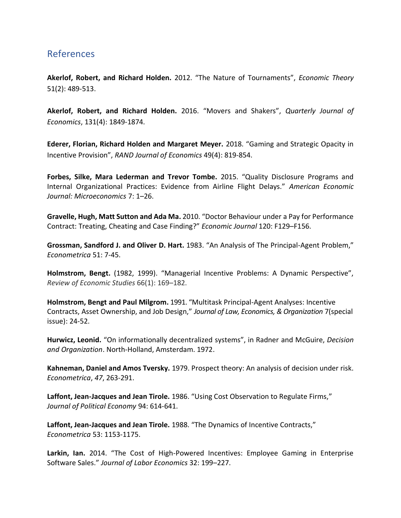## <span id="page-26-0"></span>References

**Akerlof, Robert, and Richard Holden.** 2012. "The Nature of Tournaments", *Economic Theory* 51(2): 489-513.

**Akerlof, Robert, and Richard Holden.** 2016. ["Movers and Shakers"](http://research.economics.unsw.edu.au/richardholden/assets/movers-and-shakers-12-24-15.pdf), *Quarterly Journal of Economics*, 131(4): 1849-1874.

**Ederer, Florian, Richard Holden and Margaret Meyer.** 2018. "Gaming and Strategic Opacity in Incentive Provision", *RAND Journal of Economics* 49(4): 819-854.

**Forbes, Silke, Mara Lederman and Trevor Tombe.** 2015. "Quality Disclosure Programs and Internal Organizational Practices: Evidence from Airline Flight Delays." *American Economic Journal: Microeconomics* 7: 1–26.

**Gravelle, Hugh, Matt Sutton and Ada Ma.** 2010. "Doctor Behaviour under a Pay for Performance Contract: Treating, Cheating and Case Finding?" *Economic Journal* 120: F129–F156.

**Grossman, Sandford J. and Oliver D. Hart.** 1983. "An Analysis of The Principal-Agent Problem," *Econometrica* 51: 7-45.

**Holmstrom, Bengt.** (1982, 1999). "Managerial Incentive Problems: A Dynamic Perspective", *Review of Economic Studies* 66(1): 169–182.

**Holmstrom, Bengt and Paul Milgrom.** 1991. "Multitask Principal-Agent Analyses: Incentive Contracts, Asset Ownership, and Job Design," *Journal of Law, Economics, & Organization* 7(special issue): 24-52.

**Hurwicz, Leonid.** "On informationally decentralized systems", in Radner and McGuire, *Decision and Organization*. North-Holland, Amsterdam. 1972.

**Kahneman, Daniel and Amos Tversky.** 1979. Prospect theory: An analysis of decision under risk. *Econometrica*, *47*, 263-291.

**Laffont, Jean-Jacques and Jean Tirole.** 1986. "Using Cost Observation to Regulate Firms," *Journal of Political Economy* 94: 614-641.

**Laffont, Jean-Jacques and Jean Tirole.** 1988. "The Dynamics of Incentive Contracts," *Econometrica* 53: 1153-1175.

**Larkin, Ian.** 2014. "The Cost of High-Powered Incentives: Employee Gaming in Enterprise Software Sales." *Journal of Labor Economics* 32: 199–227.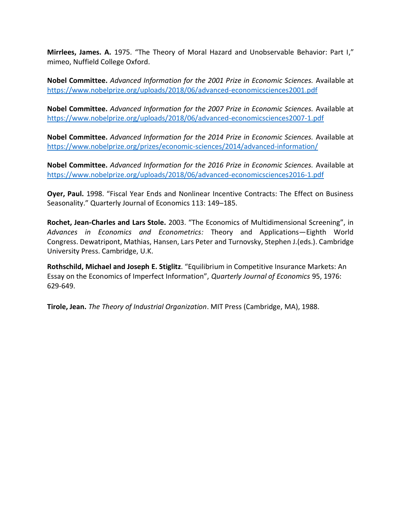**Mirrlees, James. A.** 1975. "The Theory of Moral Hazard and Unobservable Behavior: Part I," mimeo, Nuffield College Oxford.

**Nobel Committee.** *Advanced Information for the 2001 Prize in Economic Sciences.* Available at <https://www.nobelprize.org/uploads/2018/06/advanced-economicsciences2001.pdf>

**Nobel Committee.** *Advanced Information for the 2007 Prize in Economic Sciences.* Available at <https://www.nobelprize.org/uploads/2018/06/advanced-economicsciences2007-1.pdf>

**Nobel Committee.** *Advanced Information for the 2014 Prize in Economic Sciences.* Available at <https://www.nobelprize.org/prizes/economic-sciences/2014/advanced-information/>

**Nobel Committee.** *Advanced Information for the 2016 Prize in Economic Sciences.* Available at <https://www.nobelprize.org/uploads/2018/06/advanced-economicsciences2016-1.pdf>

**Oyer, Paul.** 1998. "Fiscal Year Ends and Nonlinear Incentive Contracts: The Effect on Business Seasonality." Quarterly Journal of Economics 113: 149–185.

**Rochet, Jean-Charles and Lars Stole.** 2003. "The Economics of Multidimensional Screening", in *Advances in Economics and Econometrics:* Theory and Applications—Eighth World Congress. Dewatripont, Mathias, Hansen, Lars Peter and Turnovsky, Stephen J.(eds.). Cambridge University Press. Cambridge, U.K.

**Rothschild, Michael and Joseph E. Stiglitz**. "Equilibrium in Competitive Insurance Markets: An Essay on the Economics of Imperfect Information", *Quarterly Journal of Economics* 95, 1976: 629-649.

**Tirole, Jean.** *The Theory of Industrial Organization*. MIT Press (Cambridge, MA), 1988.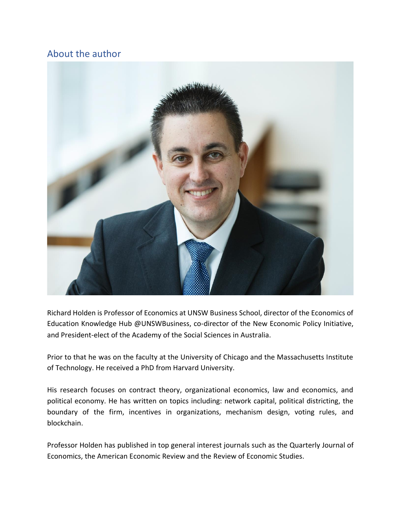## <span id="page-28-0"></span>About the author



Richard Holden is Professor of Economics at UNSW Business School, director of the Economics of Education Knowledge Hub @UNSWBusiness, co-director of the New Economic Policy Initiative, and President-elect of the Academy of the Social Sciences in Australia.

Prior to that he was on the faculty at the University of Chicago and the Massachusetts Institute of Technology. He received a PhD from Harvard University.

His research focuses on contract theory, organizational economics, law and economics, and political economy. He has written on topics including: network capital, political districting, the boundary of the firm, incentives in organizations, mechanism design, voting rules, and blockchain.

Professor Holden has published in top general interest journals such as the Quarterly Journal of Economics, the American Economic Review and the Review of Economic Studies.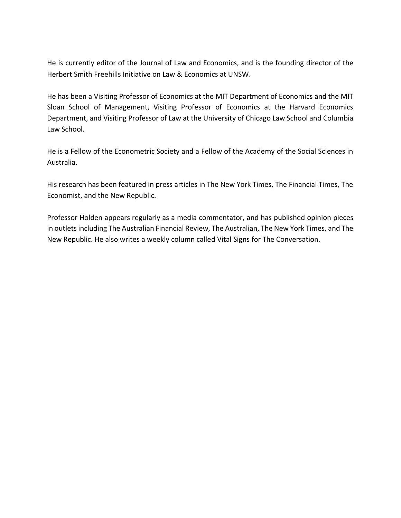He is currently editor of the Journal of Law and Economics, and is the founding director of the Herbert Smith Freehills Initiative on Law & Economics at UNSW.

He has been a Visiting Professor of Economics at the MIT Department of Economics and the MIT Sloan School of Management, Visiting Professor of Economics at the Harvard Economics Department, and Visiting Professor of Law at the University of Chicago Law School and Columbia Law School.

He is a Fellow of the Econometric Society and a Fellow of the Academy of the Social Sciences in Australia.

His research has been featured in press articles in The New York Times, The Financial Times, The Economist, and the New Republic.

Professor Holden appears regularly as a media commentator, and has published opinion pieces in outlets including The Australian Financial Review, The Australian, The New York Times, and The New Republic. He also writes a weekly column called Vital Signs for The Conversation.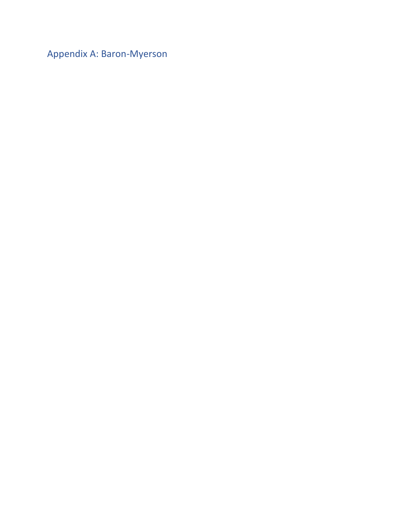<span id="page-30-0"></span>Appendix A: Baron-Myerson